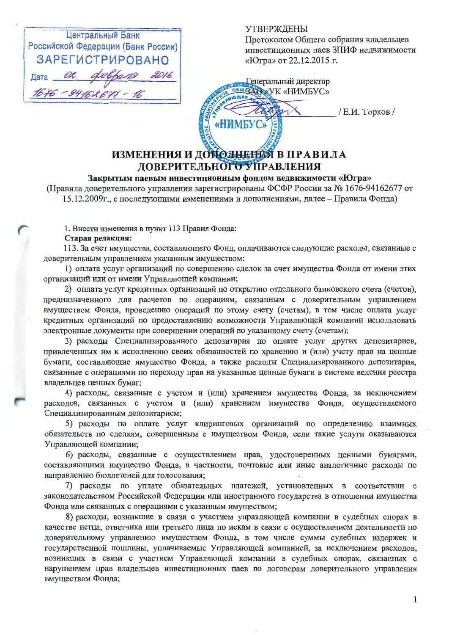| Центральный Банк                   |  |                      |  |
|------------------------------------|--|----------------------|--|
| Российской Федерации (Банк России) |  |                      |  |
| <b>ЗАРЕГИСТРИРОВАНО</b>            |  |                      |  |
|                                    |  | Data or delpans 2016 |  |
| $1676 - 94162677 - 16$             |  |                      |  |

**УТВЕРЖДЕНЫ** 

Протоколом Общего собрания владельцев инвестиционных паев ЗПИФ недвижимости «Югра» от 22.12.2015 г.

Генеральный директор BULLAO XVK «HIMBYC»

«НИМБУС»

/ Е.И. Торхов /

# ИЗМЕНЕНИЯ И ДОНОЛНЕНИЯ В ПРАВИЛА ДОВЕРИТЕЛЬНОГО УПРАВЛЕНИЯ

## Закрытым паевым инвестиционным фондом недвижимости «Югра»

(Правила доверительного управления зарегистрированы ФСФР России за № 1676-94162677 от 15.12.2009г., с последующими изменениями и дополнениями, далее - Правила Фонда)

1. Внести изменения в пункт 113 Правил Фонда:

#### Старая редакция:

113. За счет имущества, составляющего Фонд, оплачиваются следующие расходы, связанные с доверительным управлением указанным имуществом:

1) оплата услуг организаций по совершению сделок за счет имущества Фонда от имени этих организаций или от имени Управляющей компании;

2) оплата услуг кредитных организаций по открытию отдельного банковского счета (счетов), предназначенного для расчетов по операциям, связанным с доверительным управлением имуществом Фонда, проведению операций по этому счету (счетам), в том числе оплата услуг кредитных организаций по предоставлению возможности Управляющей компании использовать электронные документы при совершении операций по указанному счету (счетам);

3) расходы Специализированного депозитария по оплате услуг других депозитариев, привлеченных им к исполнению своих обязанностей по хранению и (или) учету прав на ценные бумаги, составляющие имущество Фонда, а также расходы Специализированного депозитария, связанные с операциями по переходу прав на указанные ценные бумаги в системе ведения реестра владельцев ценных бумаг;

4) расходы, связанные с учетом и (или) хранением имущества Фонда, за исключением расходов, связанных с учетом и (или) хранением имущества Фонда, осуществляемого Специализированным депозитарием;

5) расходы по оплате услуг клиринговых организаций по определению взаимных обязательств по сделкам, совершенным с имуществом Фонда, если такие услуги оказываются Управляющей компании;

6) расходы, связанные с осуществлением прав, удостоверенных ценными бумагами, составляющими имущество Фонда, в частности, почтовые или иные аналогичные расходы по направлению бюллетеней для голосования;

7) расходы по уплате обязательных платежей, установленных в соответствии с законодательством Российской Федерации или иностранного государства в отношении имущества Фонда или связанных с операциями с указанным имуществом;

8) расходы, возникшие в связи с участием управляющей компании в судебных спорах в качестве истца, ответчика или третьего лица по искам в связи с осуществлением деятельности по доверительному управлению имуществом Фонда, в том числе суммы судебных издержек и государственной пошлины, уплачиваемые Управляющей компанией, за исключением расходов, возникших в связи с участием Управляющей компании в судебных спорах, связанных с нарушением прав владельцев инвестиционных паев по договорам доверительного управления имуществом Фонда;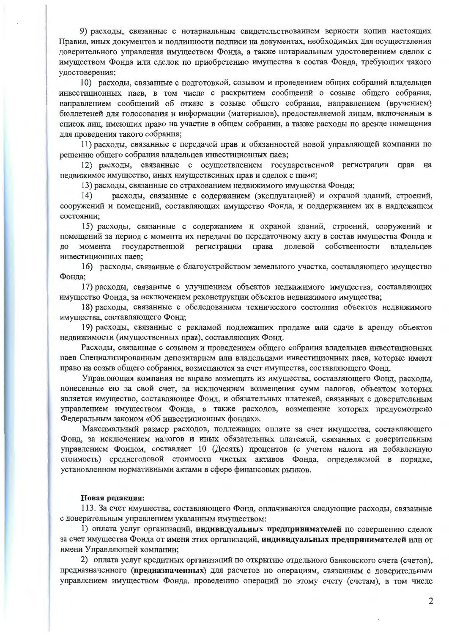9) расходы, связанные с нотариальным свидетельствованием верности копии настоящих Правил, иных документов и подлинности подписи на документах, необходимых для осуществления доверительного управления имуществом Фонда, а также нотариальным удостоверением сделок с имуществом Фонда или сделок по приобретению имущества в состав Фонда, требующих такого удостоверения;

10) расходы, связанные с подготовкой, созывом и проведением общих собраний владельцев инвестиционных паев, в том числе с раскрытием сообщений о созыве общего собрания, направлением сообщений об отказе в созыве общего собрания, направлением (вручением) бюллетеней для голосования и информации (материалов), предоставляемой лицам, включенным в список лиц, имеющих право на участие в общем собрании, а также расходы по аренде помещения для проведения такого собрания;

11) расходы, связанные с передачей прав и обязанностей новой управляющей компании по решению общего собрания владельцев инвестиционных паев;

12) расходы, связанные с осуществлением государственной регистрации прав на недвижимое имущество, иных имущественных прав и сделок с ними;

13) расходы, связанные со страхованием недвижимого имущества Фонда;

расходы, связанные с содержанием (эксплуатацией) и охраной зданий, строений, 14) сооружений и помещений, составляющих имущество Фонда, и поддержанием их в надлежащем состоянии;

15) расходы, связанные с содержанием и охраной зданий, строений, сооружений и помещений за период с момента их передачи по передаточному акту в состав имущества Фонда и момента государственной регистрации права долевой собственности владельцев ДО инвестиционных паев;

16) расходы, связанные с благоустройством земельного участка, составляющего имущество Фонда;

17) расходы, связанные с улучшением объектов недвижимого имущества, составляющих имущество Фонда, за исключением реконструкции объектов недвижимого имущества;

18) расходы, связанные с обследованием технического состояния объектов недвижимого имущества, составляющего Фонд;

19) расходы, связанные с рекламой подлежащих продаже или сдаче в аренду объектов недвижимости (имущественных прав), составляющих Фонд.

Расходы, связанные с созывом и проведением общего собрания владельцев инвестиционных паев Специализированным депозитарием или владельцами инвестиционных паев, которые имеют право на созыв общего собрания, возмещаются за счет имущества, составляющего Фонд.

Управляющая компания не вправе возмещать из имущества, составляющего Фонд, расходы, понесенные ею за свой счет, за исключением возмещения сумм налогов, объектом которых является имущество, составляющее Фонд, и обязательных платежей, связанных с доверительным управлением имуществом Фонда, а также расходов, возмещение которых предусмотрено Федеральным законом «Об инвестиционных фондах».

Максимальный размер расходов, подлежащих оплате за счет имущества, составляющего Фонд, за исключением налогов и иных обязательных платежей, связанных с доверительным управлением Фондом, составляет 10 (Десять) процентов (с учетом налога на добавленную стоимость) среднегодовой стоимости чистых активов Фонда, определяемой в порядке, установленном нормативными актами в сфере финансовых рынков.

#### Новая редакция:

113. За счет имущества, составляющего Фонд, оплачиваются следующие расходы, связанные с доверительным управлением указанным имуществом:

1) оплата услуг организаций, индивидуальных предпринимателей по совершению сделок за счет имущества Фонда от имени этих организаций, индивидуальных предпринимателей или от имени Управляющей компании;

2) оплата услуг кредитных организаций по открытию отдельного банковского счета (счетов), предназначенного (предназначенных) для расчетов по операциям, связанным с доверительным управлением имуществом Фонда, проведению операций по этому счету (счетам), в том числе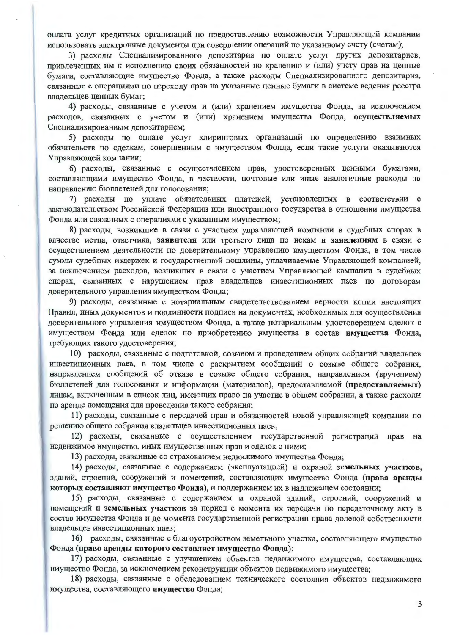оплата услуг кредитных организаций по предоставлению возможности Управляющей компании использовать электронные документы при совершении операций по указанному счету (счетам);

3) расходы Специализированного депозитария по оплате услуг других депозитариев, привлеченных им к исполнению своих обязанностей по хранению и (или) учету прав на ценные бумаги, составляющие имущество Фонда, а также расходы Специализированного депозитария, связанные с операциями по переходу прав на указанные ценные бумаги в системе ведения реестра владельцев ценных бумаг;

4) расходы, связанные с учетом и (или) хранением имущества Фонда, за исключением расходов, связанных с учетом и (или) хранением имущества Фонда, осуществляемых Специализированным депозитарием;

5) расходы по оплате услуг клиринговых организаций по определению взаимных обязательств по сделкам, совершенным с имуществом Фонда, если такие услуги оказываются Управляющей компании;

6) расходы, связанные с осуществлением прав, удостоверенных ценными бумагами, составляющими имущество Фонда, в частности, почтовые или иные аналогичные расходы по направлению бюллетеней для голосования;

7) расходы по уплате обязательных платежей, установленных в соответствии с законодательством Российской Федерации или иностранного государства в отношении имущества Фонда или связанных с операциями с указанным имуществом;

8) расходы, возникшие в связи с участием управляющей компании в судебных спорах в качестве истца, ответчика, заявителя или третьего лица по искам и заявлениям в связи с осуществлением деятельности по доверительному управлению имуществом Фонда, в том числе суммы судебных издержек и государственной пошлины, уплачиваемые Управляющей компанией, за исключением расходов, возникших в связи с участием Управляющей компании в судебных спорах, связанных с нарушением прав владельцев инвестиционных паев по договорам доверительного управления имуществом Фонда;

9) расходы, связанные с нотариальным свидетельствованием верности копии настоящих Правил, иных документов и подлинности подписи на документах, необходимых для осуществления доверительного управления имуществом Фонда, а также нотариальным удостоверением сделок с имуществом Фонда или сделок по приобретению имущества в состав имущества Фонда, требующих такого удостоверения;

10) расходы, связанные с подготовкой, созывом и проведением общих собраний владельцев инвестиционных паев, в том числе с раскрытием сообщений о созыве общего собрания, направлением сообщений об отказе в созыве общего собрания, направлением (вручением) бюллетеней для голосования и информации (материалов), предоставляемой (предоставляемых) лицам, включенным в список лиц, имеющих право на участие в общем собрании, а также расходы по аренде помещения для проведения такого собрания;

11) расходы, связанные с передачей прав и обязанностей новой управляющей компании по решению общего собрания владельцев инвестиционных паев;

12) расходы, связанные с осуществлением государственной регистрации прав на недвижимое имущество, иных имущественных прав и сделок с ними;

13) расходы, связанные со страхованием недвижимого имущества Фонда;

14) расходы, связанные с содержанием (эксплуатацией) и охраной земельных участков, зданий, строений, сооружений и помещений, составляющих имущество Фонда (права аренды которых составляют имущество Фонда), и поддержанием их в надлежащем состоянии;

15) расходы, связанные с содержанием и охраной зданий, строений, сооружений и помещений и земельных участков за период с момента их передачи по передаточному акту в состав имущества Фонда и до момента государственной регистрации права долевой собственности владельцев инвестиционных паев:

16) расходы, связанные с благоустройством земельного участка, составляющего имущество Фонда (право аренды которого составляет имущество Фонда);

17) расходы, связанные с улучшением объектов недвижимого имущества, составляющих имущество Фонда, за исключением реконструкции объектов недвижимого имущества;

18) расходы, связанные с обследованием технического состояния объектов недвижимого имущества, составляющего имущество Фонда;

3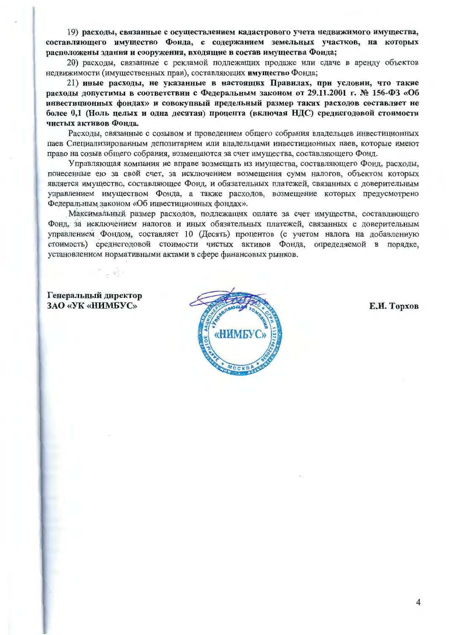19) расходы, связанные с осуществлением кадастрового учета недвижимого имущества, составляющего имущество Фонда, с содержанием земельных участков, на которых расположены здания и сооружения, входящие в состав имущества Фонда;

20) расходы, связанные с рекламой подлежащих продаже или сдаче в аренду объектов недвижимости (имущественных прав), составляющих имущество Фонда;

21) иные расходы, не указанные в настоящих Правилах, при условии, что такие расходы допустимы в соответствии с Федеральным законом от 29.11.2001 г. № 156-ФЗ «Об инвестиционных фондах» и совокупный предельный размер таких расходов составляет не более 0,1 (Ноль целых и одна десятая) процента (включая НДС) среднегодовой стоимости чистых активов Фонда.

Расходы, связанные с созывом и проведением общего собрания владельцев инвестиционных паев Специализированным депозитарием или владельцами инвестиционных паев, которые имеют право на созыв общего собрания, возмещаются за счет имущества, составляющего Фонд.

Управляющая компания не вправе возмещать из имущества, составляющего Фонд, расходы, понесенные ею за свой счет, за исключением возмещения сумм налогов, объектом которых является имущество, составляющее Фонд, и обязательных платежей, связанных с доверительным управлением имуществом Фонда, а также расходов, возмещение которых предусмотрено Федеральным законом «Об инвестиционных фондах».

Максимальный размер расходов, подлежащих оплате за счет имущества, составляющего Фонд, за исключением налогов и иных обязательных платежей, связанных с доверительным управлением Фондом, составляет 10 (Десять) процентов (с учетом налога на добавленную стоимость) среднегодовой стоимости чистых активов Фонда, определяемой в порядке, установленном нормативными актами в сфере финансовых рынков.

### Генеральный директор ЗАО «УК «НИМБУС»



Е.И. Торхов